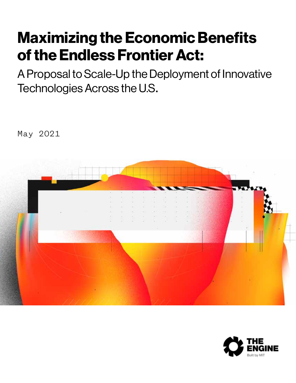## Maximizing the Economic Benefits of the Endless Frontier Act:

A Proposal to Scale-Up the Deployment of Innovative Technologies Across the U.S.

May 2021



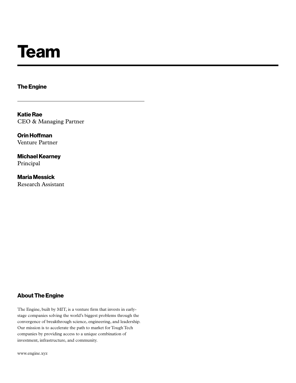# Team

The Engine

Katie Rae CEO & Managing Partner

Orin Hoffman Venture Partner

Michael Kearney Principal

Maria Messick Research Assistant

#### About The Engine

The Engine, built by MIT, is a venture firm that invests in earlystage companies solving the world's biggest problems through the convergence of breakthrough science, engineering, and leadership. Our mission is to accelerate the path to market for Tough Tech companies by providing access to a unique combination of investment, infrastructure, and community.

www.engine.xyz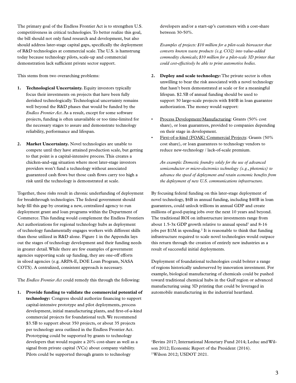The primary goal of the Endless Frontier Act is to strengthen U.S. competitiveness in critical technologies. To better realize this goal, the bill should not only fund research and development, but also should address later-stage capital gaps, specifically the deployment of R&D technologies at commercial scale. The U.S. is hamstrung today because technology pilots, scale-up and commercial demonstration lack sufficient private sector support.

This stems from two overarching problems:

- **1. Technological Uncertainty.** Equity investors typically focus their investments on projects that have been fully derisked technologically. Technological uncertainty remains well beyond the R&D phases that would be funded by the *Endless Frontier Act*. As a result, except for some software projects, funding is often unavailable or too time-limited for the necessary stages to assure and demonstrate technology reliability, performance and lifespan.
- **2. Market Uncertainty.** Novel technologies are unable to compete until they have attained production scale, but getting to that point is a capital-intensive process. This creates a chicken-and-egg situation where most later-stage investors providers won't fund a technology without associated guaranteed cash flows but those cash flows carry too high a risk until the technology is demonstrated at scale.

Together, these risks result in chronic underfunding of deployment for breakthrough technologies. The federal government should help fill this gap by creating a new, centralized agency to run deployment grant and loan programs within the Department of Commerce. This funding would complement the Endless Frontiers Act authorizations for regional technology hubs as deployment of technology fundamentally engages workers with different skills than those utilized in R&D alone. Figure 1 in the Appendix lays out the stages of technology development and their funding needs in greater detail. While there are few examples of government agencies supporting scale up funding, they are one-off efforts in siloed agencies (e.g. ARPA-E, DOE Loan Program, NASA COTS). A centralized, consistent approach is necessary.

The *Endless Frontier Act* could remedy this through the following:

**1. Provide funding to validate the commercial potential of technology:** Congress should authorize financing to support capital-intensive prototype and pilot deployments, process development, initial manufacturing plants, and first-of-a-kind commercial projects for foundational tech. We recommend \$3.5B to support about 350 projects, or about 35 projects per technology area outlined in the Endless Frontier Act. Prototyping could be supported by grants to technology developers that would require a 20% cost-share as well as a signal from private capital (VCs) about company viability. Pilots could be supported through grants to technology

developers and/or a start-up's customers with a cost-share between 30-50%.

*Examples of projects: \$10 million for a pilot-scale bioreactor that converts known waste products (e.g. CO2) into value-added commodity chemicals; \$10 million for a pilot-scale 3D printer that could cost-effectively be able to print automotive bodies.*

- **2. Deploy and scale technology:** The private sector is often unwilling to bear the risk associated with a novel technology that hasn't been demonstrated at scale or for a meaningful lifespan. \$2.5B of annual funding should be used to support 30 large-scale projects with \$40B in loan guarantee authorization. The money would support:
- Process Development/Manufacturing: Grants (50% cost share), or loan guarantees, provided to companies depending on their stage in development.
- First-of-a-kind (FOAK) Commercial Projects: Grants (50% cost share), or loan guarantees to technology vendors to reduce new-technology / lack-of-scale premium.

*An example: Domestic foundry solely for the use of advanced semiconductor or micro-electronics technology (e.g., photonics) to advance the speed of deployment and retain economic benefits from the deployment of new U.S. communications infrastructure.* 

By focusing federal funding on this later-stage deployment of novel technology, \$6B in annual funding, including \$40B in loan guarantees, could unlock trillions in annual GDP and create millions of good-paying jobs over the next 10 years and beyond. The traditional ROI on infrastructure investments range from about  $1.5-3x$  GDP growth relative to annual spend<sup>1</sup> and  $8-16$ jobs per  $$1M$  in spending.<sup>2</sup> It is reasonable to think that funding infrastructure required to scale novel technologies would outpace this return through the creation of entirely new industries as a result of successful initial deployments.

Deployment of foundational technologies could bolster a range of regions historically underserved by innovation investment. For example, biological manufacturing of chemicals could be pushed toward traditional chemical hubs in the Gulf region or advanced manufacturing using 3D printing that could be leveraged in automobile manufacturing in the industrial heartland.

<sup>1</sup>Bevins 2017; International Monetary Fund 2014; Leduc and Wilson 2012; Economic Report of the President (2016). 2 Wilson 2012; USDOT 2021.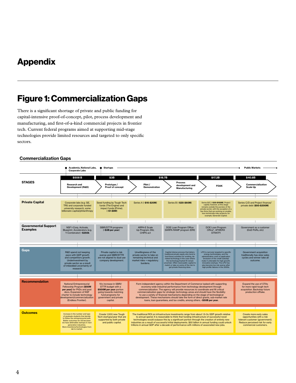### Appendix

### Figure 1: Commercialization Gaps

There is a significant shortage of private and public funding for capital-intensive proof-of-concept, pilot, process development and manufacturing, and first-of-a-kind commercial projects in frontier tech. Current federal programs aimed at supporting mid-stage technologies provide limited resources and targeted to only specific sectors.

#### Commercialization Gaps